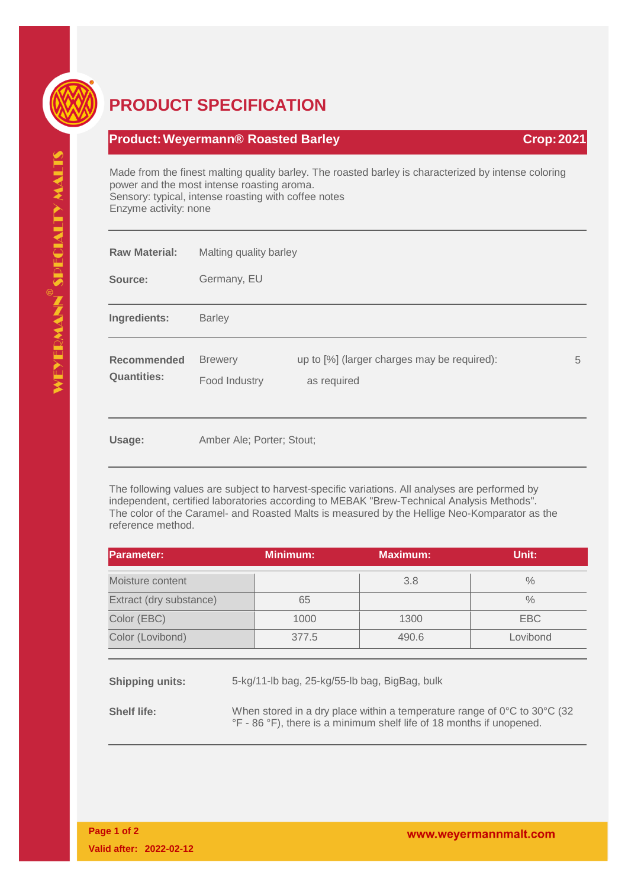

## **PRODUCT SPECIFICATION**

## **Product: Weyermann® Roasted Barley <b>Crop: 2021 Crop: 2021**

Made from the finest malting quality barley. The roasted barley is characterized by intense coloring power and the most intense roasting aroma. Sensory: typical, intense roasting with coffee notes Enzyme activity: none

| <b>Raw Material:</b>                     | Malting quality barley          |                                                            |   |  |  |
|------------------------------------------|---------------------------------|------------------------------------------------------------|---|--|--|
| Source:                                  | Germany, EU                     |                                                            |   |  |  |
| Ingredients:                             | <b>Barley</b>                   |                                                            |   |  |  |
| <b>Recommended</b><br><b>Quantities:</b> | <b>Brewery</b><br>Food Industry | up to [%] (larger charges may be required):<br>as required | 5 |  |  |
| Usage:                                   | Amber Ale; Porter; Stout;       |                                                            |   |  |  |

The following values are subject to harvest-specific variations. All analyses are performed by independent, certified laboratories according to MEBAK "Brew-Technical Analysis Methods". The color of the Caramel- and Roasted Malts is measured by the Hellige Neo-Komparator as the reference method.

| <b>Parameter:</b>                                                       |  | <b>Minimum:</b> | <b>Maximum:</b> | Unit:      |  |  |
|-------------------------------------------------------------------------|--|-----------------|-----------------|------------|--|--|
| Moisture content                                                        |  |                 | 3.8             | $\%$       |  |  |
| Extract (dry substance)                                                 |  | 65              |                 | $\%$       |  |  |
| Color (EBC)                                                             |  | 1000            | 1300            | <b>EBC</b> |  |  |
| Color (Lovibond)                                                        |  | 377.5           | 490.6           | Lovibond   |  |  |
| 5-kg/11-lb bag, 25-kg/55-lb bag, BigBag, bulk<br><b>Shipping units:</b> |  |                 |                 |            |  |  |

**Shelf life:** When stored in a dry place within a temperature range of 0°C to 30°C (32 °F - 86 °F), there is a minimum shelf life of 18 months if unopened.